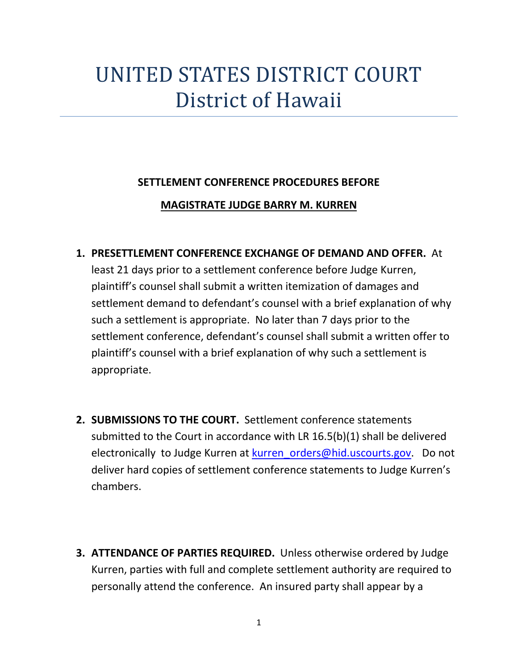## UNITED STATES DISTRICT COURT District of Hawaii

## **SETTLEMENT CONFERENCE PROCEDURES BEFORE**

## **MAGISTRATE JUDGE BARRY M. KURREN**

**1. PRESETTLEMENT CONFERENCE EXCHANGE OF DEMAND AND OFFER.** At

least 21 days prior to a settlement conference before Judge Kurren, plaintiff's counsel shall submit a written itemization of damages and settlement demand to defendant's counsel with a brief explanation of why such a settlement is appropriate. No later than 7 days prior to the settlement conference, defendant's counsel shall submit a written offer to plaintiff's counsel with a brief explanation of why such a settlement is appropriate.

- **2. SUBMISSIONS TO THE COURT.** Settlement conference statements submitted to the Court in accordance with LR 16.5(b)(1) shall be delivered electronically to Judge Kurren at [kurren\\_orders@hid.uscourts.gov.](mailto:kurren_orders@hid.uscourts.gov) Do not deliver hard copies of settlement conference statements to Judge Kurren's chambers.
- **3. ATTENDANCE OF PARTIES REQUIRED.** Unless otherwise ordered by Judge Kurren, parties with full and complete settlement authority are required to personally attend the conference. An insured party shall appear by a